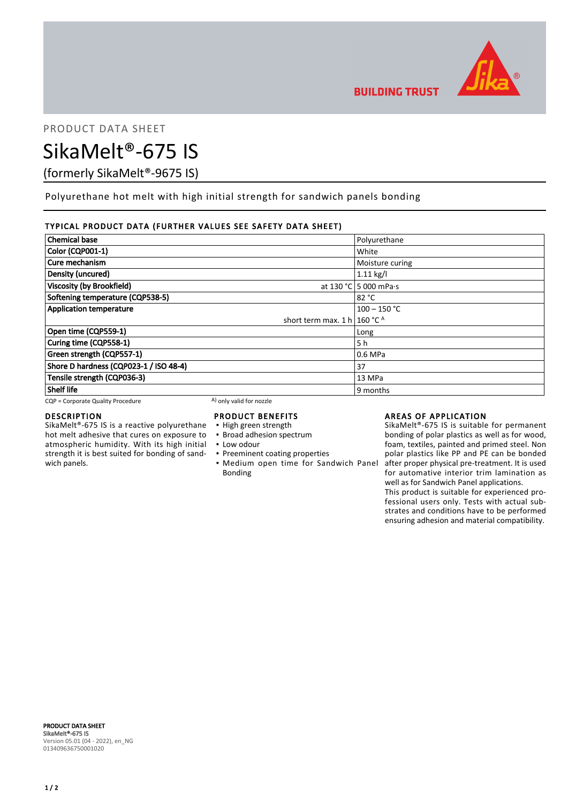

PRODUCT DATA SHEET

# SikaMelt®-675 IS

(formerly SikaMelt®-9675 IS)

Polyurethane hot melt with high initial strength for sandwich panels bonding

## TYPICAL PRODUCT DATA (FURTHER VALUES SEE SAFETY DATA SHEET)

| <b>Chemical base</b>                    | Polyurethane          |
|-----------------------------------------|-----------------------|
| Color (CQP001-1)                        | White                 |
| Cure mechanism                          | Moisture curing       |
| Density (uncured)                       | $1.11$ kg/l           |
| <b>Viscosity (by Brookfield)</b>        | at 130 °C 5 000 mPa·s |
| Softening temperature (CQP538-5)        | 82 °C                 |
| <b>Application temperature</b>          | $100 - 150$ °C        |
| short term max. 1 h   160 °C $^{\circ}$ |                       |
| Open time (CQP559-1)                    | Long                  |
| Curing time (CQP558-1)                  | 5 h                   |
| Green strength (CQP557-1)               | 0.6 MPa               |
| Shore D hardness (CQP023-1 / ISO 48-4)  | 37                    |
| Tensile strength (CQP036-3)             | 13 MPa                |
| <b>Shelf life</b>                       | 9 months              |

 $CQP =$  Corporate Quality Procedure  $(A)$  only valid for nozzle

### DESCRIPTION

SikaMelt®-675 IS is a reactive polyurethane hot melt adhesive that cures on exposure to atmospheric humidity. With its high initial strength it is best suited for bonding of sandwich panels.

# PRODUCT BENEFITS

- High green strength
- **· Broad adhesion spectrum**
- Low odour
- **Preeminent coating properties**
- **Medium open time for Sandwich Panel** Bonding

## AREAS OF APPLICATION

SikaMelt®-675 IS is suitable for permanent bonding of polar plastics as well as for wood, foam, textiles, painted and primed steel. Non polar plastics like PP and PE can be bonded after proper physical pre-treatment. It is used for automative interior trim lamination as well as for Sandwich Panel applications.

This product is suitable for experienced professional users only. Tests with actual substrates and conditions have to be performed ensuring adhesion and material compatibility.